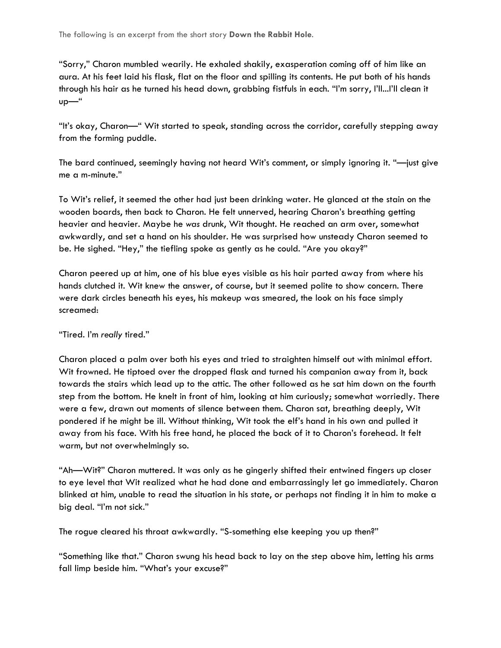"Sorry," Charon mumbled wearily. He exhaled shakily, exasperation coming off of him like an aura. At his feet laid his flask, flat on the floor and spilling its contents. He put both of his hands through his hair as he turned his head down, grabbing fistfuls in each. "I'm sorry, I'll...I'll clean it up—"

"It's okay, Charon—" Wit started to speak, standing across the corridor, carefully stepping away from the forming puddle.

The bard continued, seemingly having not heard Wit's comment, or simply ignoring it. "—just give me a m-minute."

To Wit's relief, it seemed the other had just been drinking water. He glanced at the stain on the wooden boards, then back to Charon. He felt unnerved, hearing Charon's breathing getting heavier and heavier. Maybe he *was* drunk, Wit thought. He reached an arm over, somewhat awkwardly, and set a hand on his shoulder. He was surprised how unsteady Charon seemed to be. He sighed. "Hey," the tiefling spoke as gently as he could. "Are you okay?"

Charon peered up at him, one of his blue eyes visible as his hair parted away from where his hands clutched it. Wit knew the answer, of course, but it seemed polite to show concern. There were dark circles beneath his eyes, his makeup was smeared, the look on his face simply screamed:

"Tired. I'm *really* tired."

Charon placed a palm over both his eyes and tried to straighten himself out with minimal effort. Wit frowned. He tiptoed over the dropped flask and turned his companion away from it, back towards the stairs which lead up to the attic. The other followed as he sat him down on the fourth step from the bottom. He knelt in front of him, looking at him curiously; somewhat worriedly. There were a few, drawn out moments of silence between them. Charon sat, breathing deeply, Wit pondered if he might be ill. Without thinking, Wit took the elf's hand in his own and pulled it away from his face. With his free hand, he placed the back of it to Charon's forehead. It felt warm, but not overwhelmingly so.

"Ah—Wit?" Charon muttered. It was only as he gingerly shifted their entwined fingers up closer to eye level that Wit realized what he had done and embarrassingly let go immediately. Charon blinked at him, unable to read the situation in his state, or perhaps not finding it in him to make a big deal. "I'm not sick."

The rogue cleared his throat awkwardly. "S-something else keeping you up then?"

"Something like that." Charon swung his head back to lay on the step above him, letting his arms fall limp beside him. "What's your excuse?"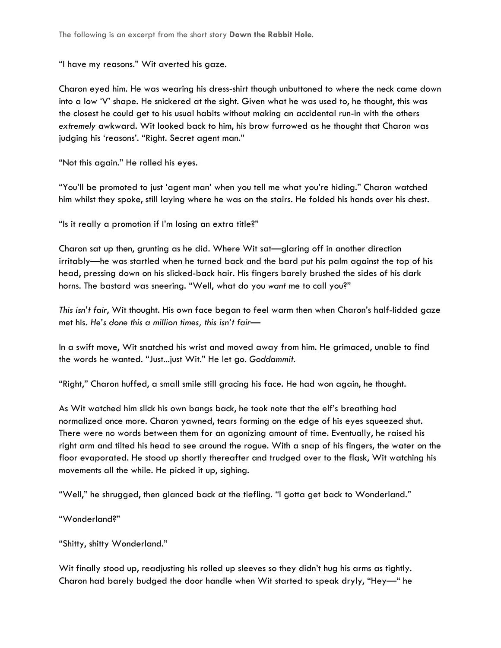The following is an excerpt from the short story **Down the Rabbit Hole**.

"I have my reasons." Wit averted his gaze.

Charon eyed him. He was wearing his dress-shirt though unbuttoned to where the neck came down into a low 'V' shape. He snickered at the sight. Given what he was used to, he thought, this was the closest he could get to his usual habits without making an accidental run-in with the others *extremely* awkward. Wit looked back to him, his brow furrowed as he thought that Charon was judging his 'reasons'. "Right. Secret agent man."

"Not this again." He rolled his eyes.

"You'll be promoted to just 'agent man' when you tell me what you're hiding." Charon watched him whilst they spoke, still laying where he was on the stairs. He folded his hands over his chest.

"Is it really a promotion if I'm losing an extra title?"

Charon sat up then, grunting as he did. Where Wit sat—glaring off in another direction irritably—he was startled when he turned back and the bard put his palm against the top of his head, pressing down on his slicked-back hair. His fingers barely brushed the sides of his dark horns. The bastard was sneering. "Well, what do you *want* me to call you?"

*This isn't fair*, Wit thought. His own face began to feel warm then when Charon's half-lidded gaze met his. *He's done this a million times, this isn't fair*—

In a swift move, Wit snatched his wrist and moved away from him. He grimaced, unable to find the words he wanted. "Just...just Wit." He let go. *Goddammit*.

"Right," Charon huffed, a small smile still gracing his face. He had won again, he thought.

As Wit watched him slick his own bangs back, he took note that the elf's breathing had normalized once more. Charon yawned, tears forming on the edge of his eyes squeezed shut. There were no words between them for an agonizing amount of time. Eventually, he raised his right arm and tilted his head to see around the rogue. With a snap of his fingers, the water on the floor evaporated. He stood up shortly thereafter and trudged over to the flask, Wit watching his movements all the while. He picked it up, sighing.

"Well," he shrugged, then glanced back at the tiefling. "I gotta get back to Wonderland."

"Wonderland?"

"Shitty, shitty Wonderland."

Wit finally stood up, readjusting his rolled up sleeves so they didn't hug his arms as tightly. Charon had barely budged the door handle when Wit started to speak dryly, "Hey—" he